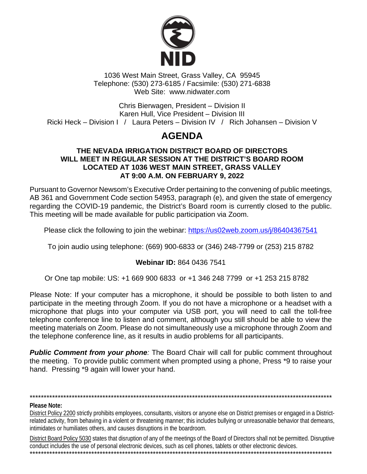

1036 West Main Street, Grass Valley, CA 95945 Telephone: (530) 273-6185 / Facsimile: (530) 271-6838 Web Site: www.nidwater.com

Chris Bierwagen, President - Division II Karen Hull, Vice President - Division III Ricki Heck – Division I / Laura Peters – Division IV / Rich Johansen – Division V

# **AGENDA**

#### THE NEVADA IRRIGATION DISTRICT BOARD OF DIRECTORS WILL MEET IN REGULAR SESSION AT THE DISTRICT'S BOARD ROOM LOCATED AT 1036 WEST MAIN STREET, GRASS VALLEY AT 9:00 A.M. ON FEBRUARY 9, 2022

Pursuant to Governor Newsom's Executive Order pertaining to the convening of public meetings, AB 361 and Government Code section 54953, paragraph (e), and given the state of emergency regarding the COVID-19 pandemic, the District's Board room is currently closed to the public. This meeting will be made available for public participation via Zoom.

Please click the following to join the webinar: https://us02web.zoom.us/j/86404367541

To join audio using telephone: (669) 900-6833 or (346) 248-7799 or (253) 215 8782

#### Webinar ID: 864 0436 7541

Or One tap mobile: US: +1 669 900 6833 or +1 346 248 7799 or +1 253 215 8782

Please Note: If your computer has a microphone, it should be possible to both listen to and participate in the meeting through Zoom. If you do not have a microphone or a headset with a microphone that plugs into your computer via USB port, you will need to call the toll-free telephone conference line to listen and comment, although you still should be able to view the meeting materials on Zoom. Please do not simultaneously use a microphone through Zoom and the telephone conference line, as it results in audio problems for all participants.

**Public Comment from your phone:** The Board Chair will call for public comment throughout the meeting. To provide public comment when prompted using a phone, Press \*9 to raise your hand. Pressing \*9 again will lower your hand.

#### **Please Note:**

District Policy 2200 strictly prohibits employees, consultants, visitors or anyone else on District premises or engaged in a Districtrelated activity, from behaving in a violent or threatening manner; this includes bullying or unreasonable behavior that demeans, intimidates or humiliates others, and causes disruptions in the boardroom.

District Board Policy 5030 states that disruption of any of the meetings of the Board of Directors shall not be permitted. Disruptive conduct includes the use of personal electronic devices, such as cell phones, tablets or other electronic devices.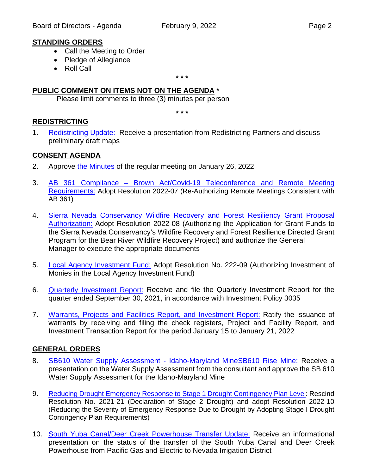#### **STANDING ORDERS**

- Call the Meeting to Order
- Pledge of Allegiance
- Roll Call

**\* \* \***

#### **PUBLIC COMMENT ON ITEMS NOT ON THE AGENDA \***

Please limit comments to three (3) minutes per person

**\* \* \***

#### **REDISTRICTING**

1. [Redistricting Update:](https://nidwater.specialdistrict.org/files/9196c0814/02092022_BOD_Item_1.pdf) Receive a presentation from Redistricting Partners and discuss preliminary draft maps

#### **CONSENT AGENDA**

- 2. Approve [the Minutes](https://nidwater.specialdistrict.org/files/181c4a259/02092022_BOD_Item_2.pdf) of the regular meeting on January 26, 2022
- 3. AB 361 Compliance [Brown Act/Covid-19 Teleconference and Remote Meeting](https://nidwater.specialdistrict.org/files/019ae19cb/02092022_BOD_Item_3.pdf)  [Requirements:](https://nidwater.specialdistrict.org/files/019ae19cb/02092022_BOD_Item_3.pdf) Adopt Resolution 2022-07 (Re-Authorizing Remote Meetings Consistent with AB 361)
- 4. [Sierra Nevada Conservancy Wildfire Recovery and Forest Resiliency Grant Proposal](https://nidwater.specialdistrict.org/files/f1d07c95a/02092022_BOD_Item_4.pdf)  [Authorization:](https://nidwater.specialdistrict.org/files/f1d07c95a/02092022_BOD_Item_4.pdf) Adopt Resolution 2022-08 (Authorizing the Application for Grant Funds to the Sierra Nevada Conservancy's Wildfire Recovery and Forest Resilience Directed Grant Program for the Bear River Wildfire Recovery Project) and authorize the General Manager to execute the appropriate documents
- 5. [Local Agency Investment Fund:](https://nidwater.specialdistrict.org/files/f0f64ffbf/02092022_BOD_Item_5.pdf) Adopt Resolution No. 222-09 (Authorizing Investment of Monies in the Local Agency Investment Fund)
- 6. [Quarterly Investment](https://nidwater.specialdistrict.org/files/141c40bf1/02092022_BOD_Item_6.pdf) Report: Receive and file the Quarterly Investment Report for the quarter ended September 30, 2021, in accordance with Investment Policy 3035
- 7. [Warrants, Projects and](https://nidwater.specialdistrict.org/files/c0d8e17b2/02092022_BOD_Item_7.pdf) Facilities Report, and Investment Report: Ratify the issuance of warrants by receiving and filing the check registers, Project and Facility Report, and Investment Transaction Report for the period January 15 to January 21, 2022

#### **GENERAL ORDERS**

- 8. SB610 Water Supply Assessment [Idaho-Maryland MineSB610 Rise Mine:](https://nidwater.specialdistrict.org/files/dac5aa621/02092022_BOD_Item_8.pdf) Receive a presentation on the Water Supply Assessment from the consultant and approve the SB 610 Water Supply Assessment for the Idaho-Maryland Mine
- 9. [Reducing Drought Emergency Response to Stage 1 Drought Contingency Plan Level:](https://nidwater.specialdistrict.org/files/e3dd375b2/02092022_BOD_Item_9.pdf) Rescind Resolution No. 2021-21 (Declaration of Stage 2 Drought) and adopt Resolution 2022-10 (Reducing the Severity of Emergency Response Due to Drought by Adopting Stage I Drought Contingency Plan Requirements)
- 10. [South Yuba Canal/Deer Creek Powerhouse Transfer Update:](https://nidwater.specialdistrict.org/files/e9eaf9ba4/02092022_BOD_Item_10.pdf) Receive an informational presentation on the status of the transfer of the South Yuba Canal and Deer Creek Powerhouse from Pacific Gas and Electric to Nevada Irrigation District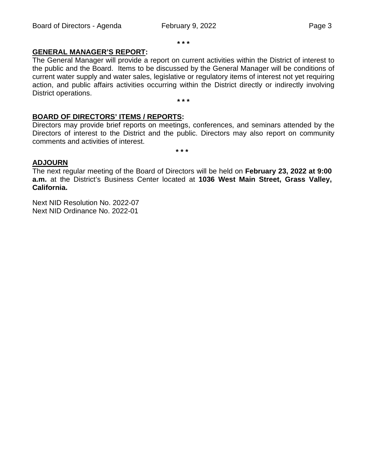**\* \* \***

### **GENERAL MANAGER'S REPORT:**

The General Manager will provide a report on current activities within the District of interest to the public and the Board. Items to be discussed by the General Manager will be conditions of current water supply and water sales, legislative or regulatory items of interest not yet requiring action, and public affairs activities occurring within the District directly or indirectly involving District operations. **\* \* \***

## **BOARD OF DIRECTORS' ITEMS / REPORTS:**

Directors may provide brief reports on meetings, conferences, and seminars attended by the Directors of interest to the District and the public. Directors may also report on community comments and activities of interest.

**\* \* \***

#### **ADJOURN**

The next regular meeting of the Board of Directors will be held on **February 23, 2022 at 9:00 a.m.** at the District's Business Center located at **1036 West Main Street, Grass Valley, California.**

Next NID Resolution No. 2022-07 Next NID Ordinance No. 2022-01